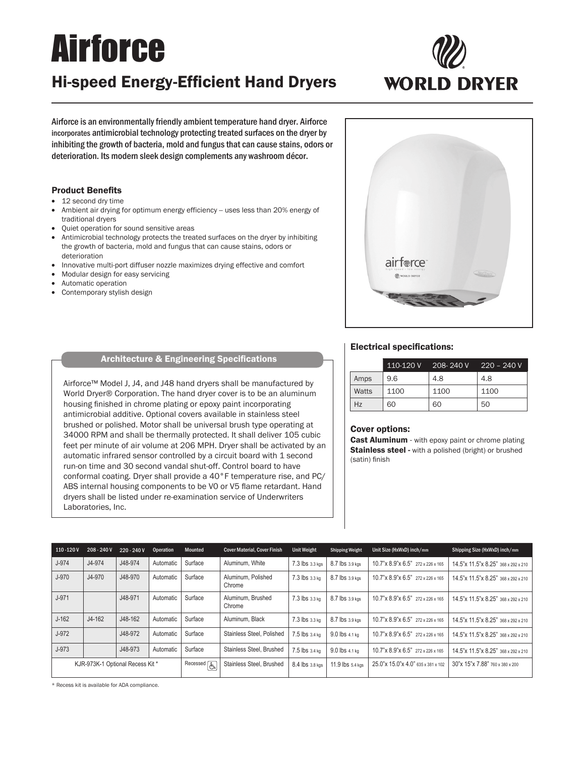# **Airforce**

## Hi-speed Energy-Efficient Hand Dryers



Airforce is an environmentally friendly ambient temperature hand dryer. Airforce incorporates antimicrobial technology protecting treated surfaces on the dryer by inhibiting the growth of bacteria, mold and fungus that can cause stains, odors or deterioration. Its modern sleek design complements any washroom décor.

#### **Product Benefits**

- 12 second dry time
- Ambient air drying for optimum energy efficiency -- uses less than 20% energy of traditional dryers
- Quiet operation for sound sensitive areas
- Antimicrobial technology protects the treated surfaces on the dryer by inhibiting the growth of bacteria, mold and fungus that can cause stains, odors or deterioration
- Innovative multi-port diffuser nozzle maximizes drying effective and comfort
- Modular design for easy servicing
- Automatic operation
- Contemporary stylish design



#### Architecture & Engineering Specifications

Airforce™ Model J, J4, and J48 hand dryers shall be manufactured by World Dryer® Corporation. The hand dryer cover is to be an aluminum housing finished in chrome plating or epoxy paint incorporating antimicrobial additive. Optional covers available in stainless steel brushed or polished. Motor shall be universal brush type operating at 34000 RPM and shall be thermally protected. It shall deliver 105 cubic feet per minute of air volume at 206 MPH. Dryer shall be activated by an automatic infrared sensor controlled by a circuit board with 1 second run-on time and 30 second vandal shut-off. Control board to have conformal coating. Dryer shall provide a 40°F temperature rise, and PC/ ABS internal housing components to be VO or V5 flame retardant. Hand dryers shall be listed under re-examination service of Underwriters Laboratories, Inc.

#### Electrical specifications:

|       |      | $110-120$ V $208-240$ V $220 - 240$ V |      |
|-------|------|---------------------------------------|------|
| Amps  | 9.6  | 4.8                                   | 4.8  |
| Watts | 1100 | 1100                                  | 1100 |
| Hz    | 60   | 60                                    | 50   |

#### Cover options:

Cast Aluminum - with epoxy paint or chrome plating Stainless steel - with a polished (bright) or brushed (satin) finish

| $110 - 120V$                     | $208 - 240V$ | 220 - 240 V | Operation              | <b>Mounted</b>           | <b>Cover Material, Cover Finish</b> | <b>Unit Weight</b> | <b>Shipping Weight</b>               | Unit Size (HxWxD) inch/mm           | Shipping Size (HxWxD) inch/mm         |
|----------------------------------|--------------|-------------|------------------------|--------------------------|-------------------------------------|--------------------|--------------------------------------|-------------------------------------|---------------------------------------|
| $J-974$                          | J4-974       | J48-974     | Automatic              | Surface                  | Aluminum, White                     | 7.3 lbs 3.3 kgs    | 8.7 lbs 3.9 kgs                      | 10.7" x 8.9" x 6.5" 272 x 226 x 165 | 14.5" x 11.5" x 8.25" 368 x 292 x 210 |
| J-970                            | J4-970       | J48-970     | Automatic              | Surface                  | Aluminum, Polished<br>Chrome        | 7.3 lbs 3.3 kg     | 8.7 lbs 3.9 kgs                      | 10.7" x 8.9" x 6.5" 272 x 226 x 165 | 14.5"x 11.5"x 8.25" 368 x 292 x 210   |
| J-971                            |              | J48-971     | Automatic              | Surface                  | Aluminum, Brushed<br>Chrome         | 7.3 lbs 3.3 kg     | 8.7 lbs 3.9 kgs                      | 10.7" x 8.9" x 6.5" 272 x 226 x 165 | 14.5"x 11.5"x 8.25" 368 x 292 x 210   |
| $J-162$                          | $J4-162$     | J48-162     | Automatic              | Surface                  | Aluminum, Black                     | 7.3 lbs 3.3 kg     | 8.7 lbs 3.9 kgs                      | 10.7" x 8.9" x 6.5" 272 x 226 x 165 | 14.5"x 11.5"x 8.25" 368 x 292 x 210   |
| $J-972$                          |              | J48-972     | Automatic              | Surface                  | Stainless Steel, Polished           | 7.5 lbs 3.4 kg     | 9.0 lbs 4.1 kg                       | 10.7" x 8.9" x 6.5" 272 x 226 x 165 | 14.5"x 11.5"x 8.25" 368 x 292 x 210   |
| $J-973$                          |              | J48-973     | Automatic              | Surface                  | Stainless Steel, Brushed            | 7.5 lbs 3.4 kg     | 9.0 lbs 4.1 kg                       | 10.7" x 8.9" x 6.5" 272 x 226 x 165 | 14.5"x 11.5"x 8.25" 368 x 292 x 210   |
| KJR-973K-1 Optional Recess Kit * |              |             | $R$ ecessed $\sqrt{A}$ | Stainless Steel, Brushed | 8.4 lbs 3.8 kgs                     | 11.9 lbs 5.4 kgs   | 25.0" x 15.0" x 4.0" 635 x 381 x 102 | 30"x 15"x 7.88" 760 x 380 x 200     |                                       |

\* Recess kit is available for ADA compliance.